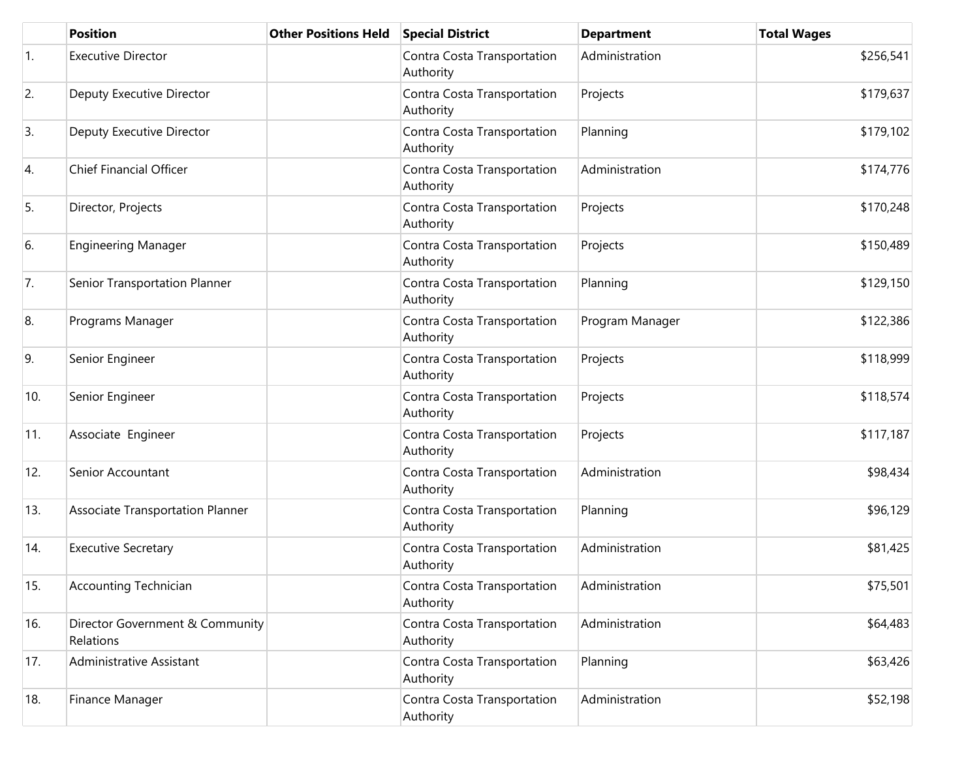|     | <b>Position</b>                              | <b>Other Positions Held</b> | <b>Special District</b>                  | <b>Department</b> | <b>Total Wages</b> |
|-----|----------------------------------------------|-----------------------------|------------------------------------------|-------------------|--------------------|
| 1.  | <b>Executive Director</b>                    |                             | Contra Costa Transportation<br>Authority | Administration    | \$256,541          |
| 2.  | Deputy Executive Director                    |                             | Contra Costa Transportation<br>Authority | Projects          | \$179,637          |
| 3.  | Deputy Executive Director                    |                             | Contra Costa Transportation<br>Authority | Planning          | \$179,102          |
| 4.  | <b>Chief Financial Officer</b>               |                             | Contra Costa Transportation<br>Authority | Administration    | \$174,776          |
| 5.  | Director, Projects                           |                             | Contra Costa Transportation<br>Authority | Projects          | \$170,248          |
| 6.  | <b>Engineering Manager</b>                   |                             | Contra Costa Transportation<br>Authority | Projects          | \$150,489          |
| 7.  | Senior Transportation Planner                |                             | Contra Costa Transportation<br>Authority | Planning          | \$129,150          |
| 8.  | Programs Manager                             |                             | Contra Costa Transportation<br>Authority | Program Manager   | \$122,386          |
| 9.  | Senior Engineer                              |                             | Contra Costa Transportation<br>Authority | Projects          | \$118,999          |
| 10. | Senior Engineer                              |                             | Contra Costa Transportation<br>Authority | Projects          | \$118,574          |
| 11. | Associate Engineer                           |                             | Contra Costa Transportation<br>Authority | Projects          | \$117,187          |
| 12. | Senior Accountant                            |                             | Contra Costa Transportation<br>Authority | Administration    | \$98,434           |
| 13. | Associate Transportation Planner             |                             | Contra Costa Transportation<br>Authority | Planning          | \$96,129           |
| 14. | <b>Executive Secretary</b>                   |                             | Contra Costa Transportation<br>Authority | Administration    | \$81,425           |
| 15. | Accounting Technician                        |                             | Contra Costa Transportation<br>Authority | Administration    | \$75,501           |
| 16. | Director Government & Community<br>Relations |                             | Contra Costa Transportation<br>Authority | Administration    | \$64,483           |
| 17. | Administrative Assistant                     |                             | Contra Costa Transportation<br>Authority | Planning          | \$63,426           |
| 18. | Finance Manager                              |                             | Contra Costa Transportation<br>Authority | Administration    | \$52,198           |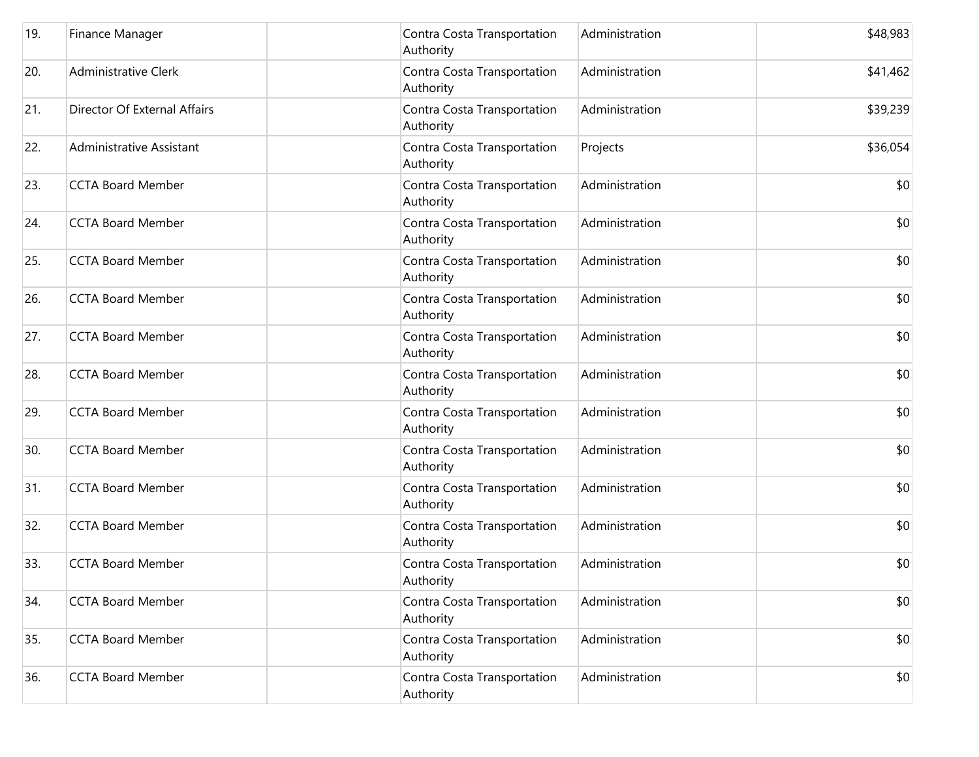| 19. | Finance Manager              | Contra Costa Transportation<br>Authority | Administration | \$48,983 |
|-----|------------------------------|------------------------------------------|----------------|----------|
| 20. | <b>Administrative Clerk</b>  | Contra Costa Transportation<br>Authority | Administration | \$41,462 |
| 21. | Director Of External Affairs | Contra Costa Transportation<br>Authority | Administration | \$39,239 |
| 22. | Administrative Assistant     | Contra Costa Transportation<br>Authority | Projects       | \$36,054 |
| 23. | <b>CCTA Board Member</b>     | Contra Costa Transportation<br>Authority | Administration | \$0      |
| 24. | <b>CCTA Board Member</b>     | Contra Costa Transportation<br>Authority | Administration | \$0      |
| 25. | <b>CCTA Board Member</b>     | Contra Costa Transportation<br>Authority | Administration | \$0      |
| 26. | <b>CCTA Board Member</b>     | Contra Costa Transportation<br>Authority | Administration | \$0      |
| 27. | <b>CCTA Board Member</b>     | Contra Costa Transportation<br>Authority | Administration | \$0      |
| 28. | <b>CCTA Board Member</b>     | Contra Costa Transportation<br>Authority | Administration | \$0      |
| 29. | <b>CCTA Board Member</b>     | Contra Costa Transportation<br>Authority | Administration | \$0      |
| 30. | <b>CCTA Board Member</b>     | Contra Costa Transportation<br>Authority | Administration | \$0      |
| 31. | <b>CCTA Board Member</b>     | Contra Costa Transportation<br>Authority | Administration | \$0      |
| 32. | <b>CCTA Board Member</b>     | Contra Costa Transportation<br>Authority | Administration | \$0      |
| 33. | <b>CCTA Board Member</b>     | Contra Costa Transportation<br>Authority | Administration | \$0      |
| 34. | <b>CCTA Board Member</b>     | Contra Costa Transportation<br>Authority | Administration | \$0      |
| 35. | <b>CCTA Board Member</b>     | Contra Costa Transportation<br>Authority | Administration | \$0      |
| 36. | <b>CCTA Board Member</b>     | Contra Costa Transportation<br>Authority | Administration | \$0      |